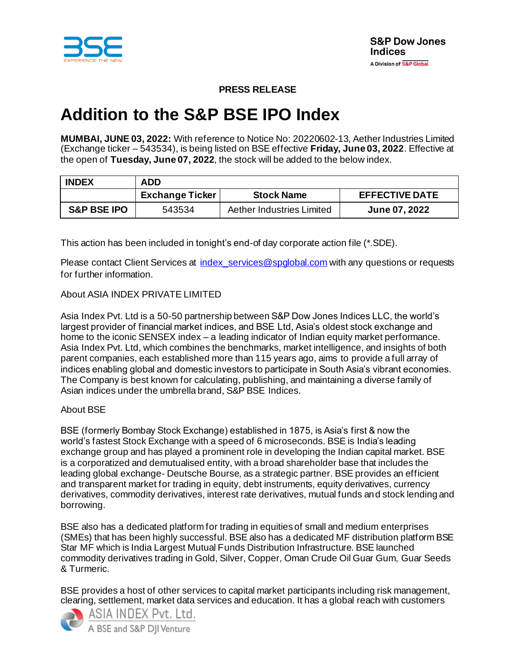

## **PRESS RELEASE**

# **Addition to the S&P BSE IPO Index**

**MUMBAI, JUNE 03, 2022:** With reference to Notice No: 20220602-13, Aether Industries Limited (Exchange ticker – 543534), is being listed on BSE effective **Friday, June 03, 2022**. Effective at the open of **Tuesday, June 07, 2022**, the stock will be added to the below index.

| <b>INDEX</b>           | ADD                    |                           |                       |
|------------------------|------------------------|---------------------------|-----------------------|
|                        | <b>Exchange Ticker</b> | <b>Stock Name</b>         | <b>EFFECTIVE DATE</b> |
| <b>S&amp;P BSE IPO</b> | 543534                 | Aether Industries Limited | <b>June 07, 2022</b>  |

This action has been included in tonight's end-of day corporate action file (\*.SDE).

Please contact Client Services at *index* services@spglobal.com with any questions or requests for further information.

### About ASIA INDEX PRIVATE LIMITED

Asia Index Pvt. Ltd is a 50-50 partnership between S&P Dow Jones Indices LLC, the world's largest provider of financial market indices, and BSE Ltd, Asia's oldest stock exchange and home to the iconic SENSEX index – a leading indicator of Indian equity market performance. Asia Index Pvt. Ltd, which combines the benchmarks, market intelligence, and insights of both parent companies, each established more than 115 years ago, aims to provide a full array of indices enabling global and domestic investors to participate in South Asia's vibrant economies. The Company is best known for calculating, publishing, and maintaining a diverse family of Asian indices under the umbrella brand, S&P BSE Indices.

### About BSE

BSE (formerly Bombay Stock Exchange) established in 1875, is Asia's first & now the world's fastest Stock Exchange with a speed of 6 microseconds. BSE is India's leading exchange group and has played a prominent role in developing the Indian capital market. BSE is a corporatized and demutualised entity, with a broad shareholder base that includes the leading global exchange- Deutsche Bourse, as a strategic partner. BSE provides an efficient and transparent market for trading in equity, debt instruments, equity derivatives, currency derivatives, commodity derivatives, interest rate derivatives, mutual funds and stock lending and borrowing.

BSE also has a dedicated platform for trading in equities of small and medium enterprises (SMEs) that has been highly successful. BSE also has a dedicated MF distribution platform BSE Star MF which is India Largest Mutual Funds Distribution Infrastructure. BSE launched commodity derivatives trading in Gold, Silver, Copper, Oman Crude Oil Guar Gum, Guar Seeds & Turmeric.

BSE provides a host of other services to capital market participants including risk management, clearing, settlement, market data services and education. It has a global reach with customers



ASIA INDEX Pvt. Ltd.<br>A BSE and S&P D|IVenture